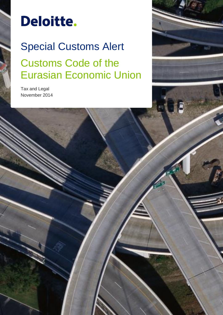# Deloitte.

## Special Customs Alert Customs Code of the Eurasian Economic Union

Tax and Legal November 2014

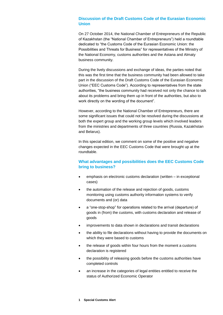#### **Discussion of the Draft Customs Code of the Eurasian Economic Union**

On 27 October 2014, the National Chamber of Entrepreneurs of the Republic of Kazakhstan (the "National Chamber of Entrepreneurs") held a roundtable dedicated to "the Customs Code of the Eurasian Economic Union: the Possibilities and Threats for Business" for representatives of the Ministry of the National Economy, customs authorities and the Astana and Almaty business community.

During the lively discussions and exchange of ideas, the parties noted that this was the first time that the business community had been allowed to take part in the discussion of the Draft Customs Code of the Eurasian Economic Union ("EEC Customs Code"). According to representatives from the state authorities, "the business community had received not only the chance to talk about its problems and bring them up in front of the authorities, but also to work directly on the wording of the document".

However, according to the National Chamber of Entrepreneurs, there are some significant issues that could not be resolved during the discussions at both the expert group and the working group levels which involved leaders from the ministries and departments of three countries (Russia, Kazakhstan and Belarus).

In this special edition, we comment on some of the positive and negative changes expected in the EEC Customs Code that were brought up at the roundtable.

#### **What advantages and possibilities does the EEC Customs Code bring to business?**

- emphasis on electronic customs declaration (written in exceptional cases)
- the automation of the release and rejection of goods, customs monitoring using customs authority information systems to verify documents and (or) data
- a "one-stop-shop" for operations related to the arrival (departure) of goods in (from) the customs, with customs declaration and release of goods
- improvements to data shown in declarations and transit declarations
- the ability to file declarations without having to provide the documents on which they were based to customs
- the release of goods within four hours from the moment a customs declaration is registered
- the possibility of releasing goods before the customs authorities have completed controls
- an increase in the categories of legal entities entitled to receive the status of Authorized Economic Operator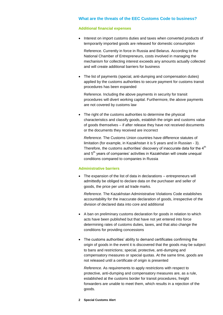#### **What are the threats of the EEC Customs Code to business?**

#### **Additional financial expenses**

• Interest on import customs duties and taxes when converted products of temporarily imported goods are released for domestic consumption

Reference. Currently in force in Russia and Belarus. According to the National Chamber of Entrepreneurs, costs involved in managing the mechanism for collecting interest exceeds any amounts actually collected and will create additional barriers for business

 The list of payments (special, anti-dumping and compensation duties) applied by the customs authorities to secure payment for customs transit procedures has been expanded

Reference. Including the above payments in security for transit procedures will divert working capital. Furthermore, the above payments are not covered by customs law

• The right of the customs authorities to determine the physical characteristics and classify goods, establish the origin and customs value of goods themselves – if after release they have not received documents or the documents they received are incorrect

*Reference.* The Customs Union countries have difference statutes of limitation (for example, in Kazakhstan it is 5 years and in Russian - 3). Therefore, the customs authorities' discovery of inaccurate data for the  $4<sup>th</sup>$ and 5<sup>th</sup> years of companies' activities in Kazakhstan will create unequal conditions compared to companies in Russia

#### **Administrative barriers**

 The expansion of the list of data in declarations – entrepreneurs will admittedly be obliged to declare data on the purchaser and seller of goods, the price per unit ad trade marks.

*Reference.* The Kazakhstan Administrative Violations Code establishes accountability for the inaccurate declaration of goods, irrespective of the division of declared data into core and additional

- A ban on preliminary customs declaration for goods in relation to which acts have been published but that have not yet entered into force determining rates of customs duties, taxes, and that also change the conditions for providing concessions
- The customs authorities' ability to demand certificates confirming the origin of goods in the event it is discovered that the goods may be subject to bans and restrictions; special, protective, anti-dumping and compensatory measures or special quotas. At the same time, goods are not released until a certificate of origin is presented

*Reference.* As requirements to apply restrictions with respect to protective, anti-dumping and compensatory measures are, as a rule, established at the customs border for transit procedures, freight forwarders are unable to meet them, which results in a rejection of the goods.

**2 Special Customs Alert**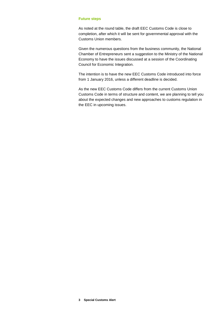#### **Future steps**

As noted at the round table, the draft EEC Customs Code is close to completion, after which it will be sent for governmental approval with the Customs Union members.

Given the numerous questions from the business community, the National Chamber of Entrepreneurs sent a suggestion to the Ministry of the National Economy to have the issues discussed at a session of the Coordinating Council for Economic Integration.

The intention is to have the new EEC Customs Code introduced into force from 1 January 2016, unless a different deadline is decided.

As the new EEC Customs Code differs from the current Customs Union Customs Code in terms of structure and content, we are planning to tell you about the expected changes and new approaches to customs regulation in the EEC in upcoming issues.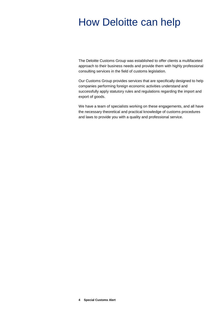## How Deloitte can help

The Deloitte Customs Group was established to offer clients a multifaceted approach to their business needs and provide them with highly professional consulting services in the field of customs legislation.

Our Customs Group provides services that are specifically designed to help companies performing foreign economic activities understand and successfully apply statutory rules and regulations regarding the import and export of goods.

We have a team of specialists working on these engagements, and all have the necessary theoretical and practical knowledge of customs procedures and laws to provide you with a quality and professional service.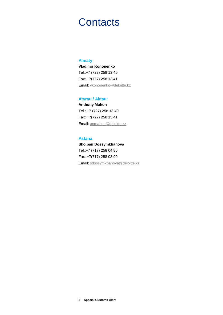### **Contacts**

#### **Almaty**

**Vladimir Kononenko**  Tel.:+7 (727) 258 13 40 Fax: +7(727) 258 13 41 Email: [vkononenko@deloitte.kz](mailto:vkononenko@deloitte.kz)

#### **Atyrau / Aktau:**

**Anthony Mahon** Tel.: +7 (727) 258 13 40 Fax: +7(727) 258 13 41 Email: anmahon@deloitte.kz

#### **Astana**

**Sholpan Dossymkhanova** Tel.:+7 (717) 258 04 80 Fax: +7(717) 258 03 90 Email: sdossymkhanova@deloitte.kz